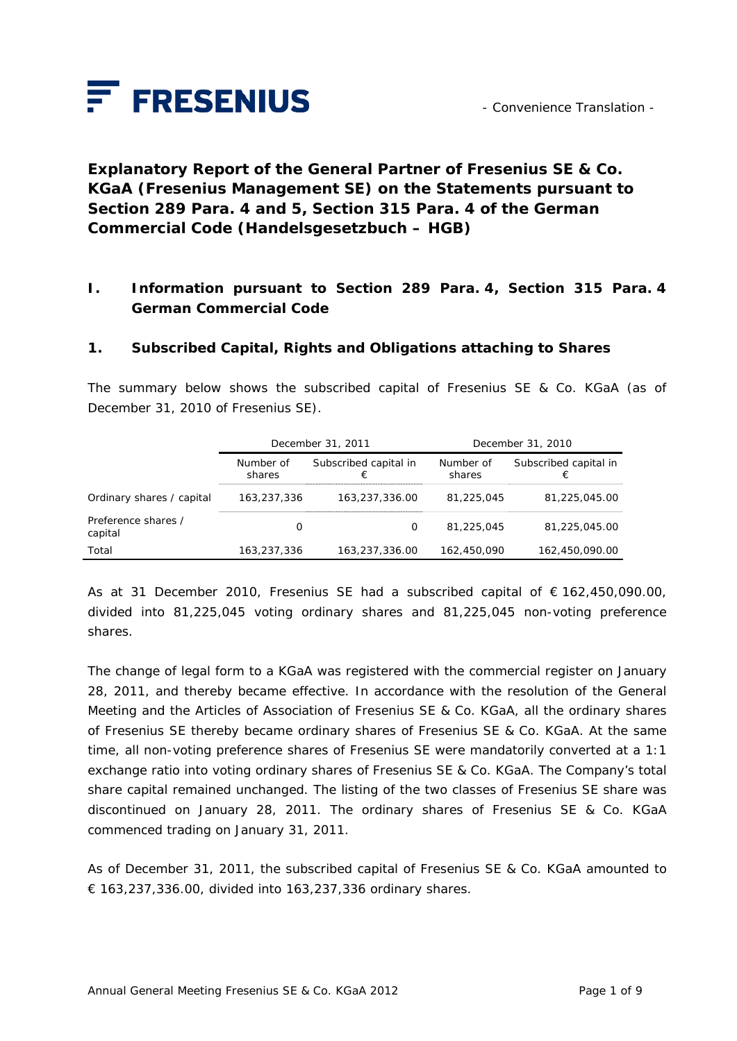

**Explanatory Report of the General Partner of Fresenius SE & Co. KGaA (Fresenius Management SE) on the Statements pursuant to Section 289 Para. 4 and 5, Section 315 Para. 4 of the German Commercial Code (***Handelsgesetzbuch – HGB***)** 

### **I. Information pursuant to Section 289 Para. 4, Section 315 Para. 4 German Commercial Code**

#### **1. Subscribed Capital, Rights and Obligations attaching to Shares**

The summary below shows the subscribed capital of Fresenius SE & Co. KGaA (as of December 31, 2010 of Fresenius SE).

|                                | December 31, 2011   |                            | December 31, 2010   |                            |
|--------------------------------|---------------------|----------------------------|---------------------|----------------------------|
|                                | Number of<br>shares | Subscribed capital in<br>€ | Number of<br>shares | Subscribed capital in<br>€ |
| Ordinary shares / capital      | 163,237,336         | 163,237,336.00             | 81,225,045          | 81,225,045.00              |
| Preference shares /<br>capital | O                   | 0                          | 81,225,045          | 81,225,045.00              |
| Total                          | 163,237,336         | 163,237,336.00             | 162,450,090         | 162,450,090.00             |

As at 31 December 2010, Fresenius SE had a subscribed capital of € 162,450,090.00, divided into 81,225,045 voting ordinary shares and 81,225,045 non-voting preference shares.

The change of legal form to a KGaA was registered with the commercial register on January 28, 2011, and thereby became effective. In accordance with the resolution of the General Meeting and the Articles of Association of Fresenius SE & Co. KGaA, all the ordinary shares of Fresenius SE thereby became ordinary shares of Fresenius SE & Co. KGaA. At the same time, all non-voting preference shares of Fresenius SE were mandatorily converted at a 1:1 exchange ratio into voting ordinary shares of Fresenius SE & Co. KGaA. The Company's total share capital remained unchanged. The listing of the two classes of Fresenius SE share was discontinued on January 28, 2011. The ordinary shares of Fresenius SE & Co. KGaA commenced trading on January 31, 2011.

As of December 31, 2011, the subscribed capital of Fresenius SE & Co. KGaA amounted to € 163,237,336.00, divided into 163,237,336 ordinary shares.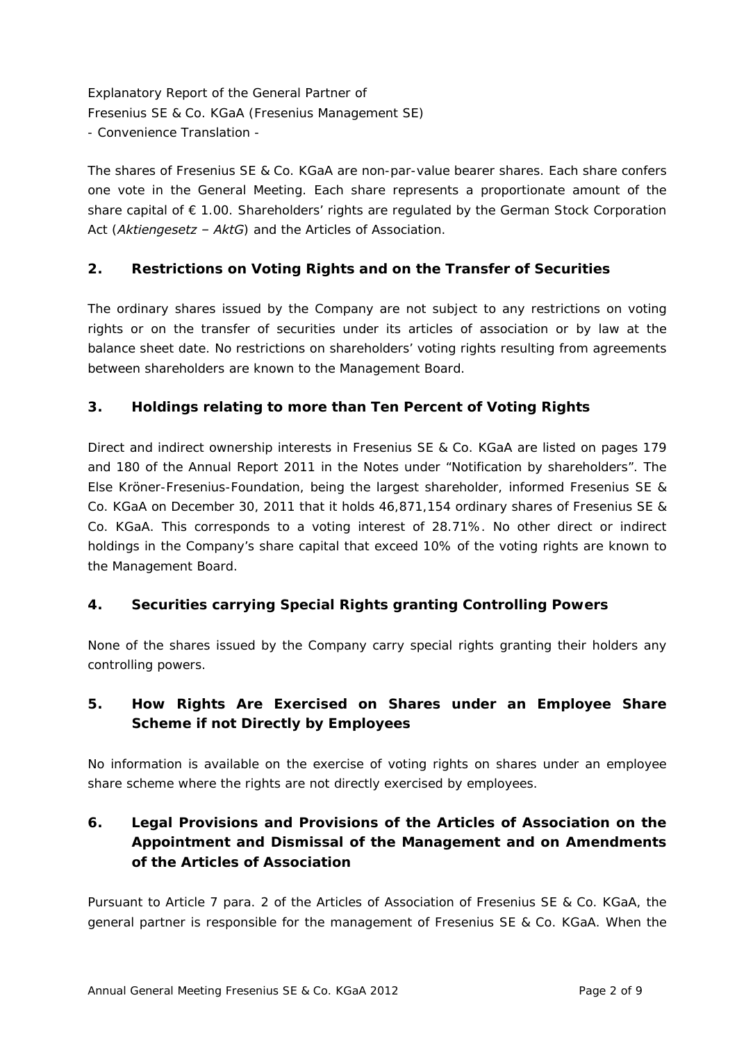The shares of Fresenius SE & Co. KGaA are non-par-value bearer shares. Each share confers one vote in the General Meeting. Each share represents a proportionate amount of the share capital of € 1.00. Shareholders' rights are regulated by the German Stock Corporation Act (*Aktiengesetz – AktG*) and the Articles of Association.

### **2. Restrictions on Voting Rights and on the Transfer of Securities**

The ordinary shares issued by the Company are not subject to any restrictions on voting rights or on the transfer of securities under its articles of association or by law at the balance sheet date. No restrictions on shareholders' voting rights resulting from agreements between shareholders are known to the Management Board.

### **3. Holdings relating to more than Ten Percent of Voting Rights**

Direct and indirect ownership interests in Fresenius SE & Co. KGaA are listed on pages 179 and 180 of the Annual Report 2011 in the Notes under "Notification by shareholders". The Else Kröner-Fresenius-Foundation, being the largest shareholder, informed Fresenius SE & Co. KGaA on December 30, 2011 that it holds 46,871,154 ordinary shares of Fresenius SE & Co. KGaA. This corresponds to a voting interest of 28.71%. No other direct or indirect holdings in the Company's share capital that exceed 10% of the voting rights are known to the Management Board.

### **4. Securities carrying Special Rights granting Controlling Powers**

None of the shares issued by the Company carry special rights granting their holders any controlling powers.

### **5. How Rights Are Exercised on Shares under an Employee Share Scheme if not Directly by Employees**

No information is available on the exercise of voting rights on shares under an employee share scheme where the rights are not directly exercised by employees.

## **6. Legal Provisions and Provisions of the Articles of Association on the Appointment and Dismissal of the Management and on Amendments of the Articles of Association**

Pursuant to Article 7 para. 2 of the Articles of Association of Fresenius SE & Co. KGaA, the general partner is responsible for the management of Fresenius SE & Co. KGaA. When the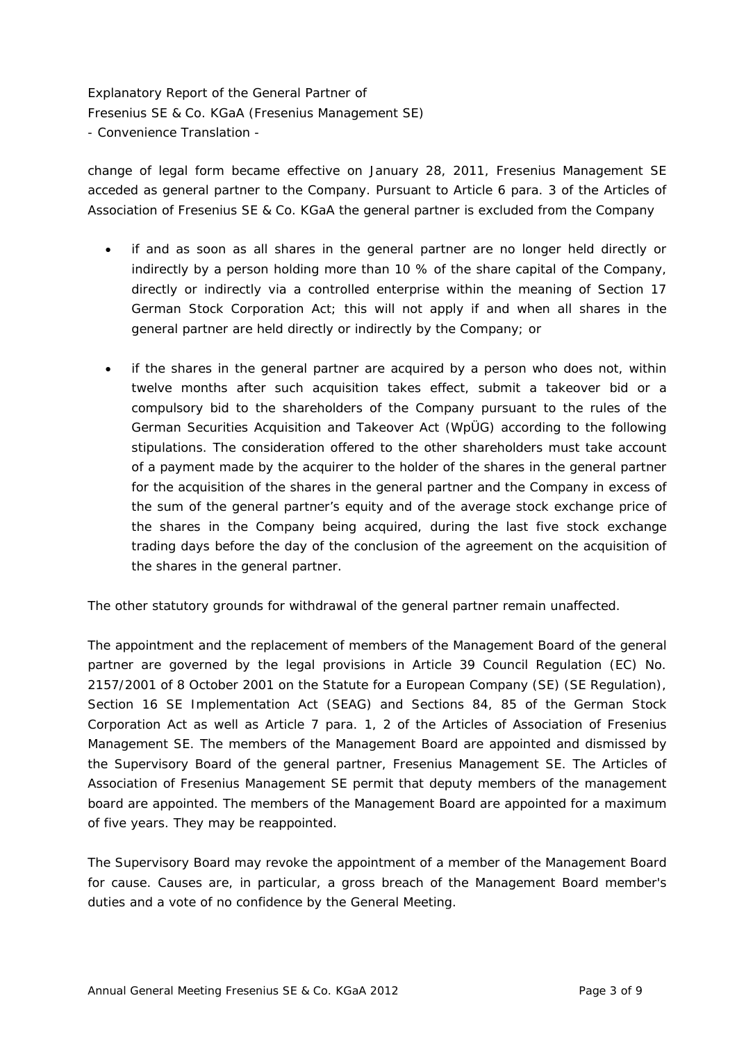change of legal form became effective on January 28, 2011, Fresenius Management SE acceded as general partner to the Company. Pursuant to Article 6 para. 3 of the Articles of Association of Fresenius SE & Co. KGaA the general partner is excluded from the Company

- if and as soon as all shares in the general partner are no longer held directly or indirectly by a person holding more than 10 % of the share capital of the Company, directly or indirectly via a controlled enterprise within the meaning of Section 17 German Stock Corporation Act; this will not apply if and when all shares in the general partner are held directly or indirectly by the Company; or
- if the shares in the general partner are acquired by a person who does not, within twelve months after such acquisition takes effect, submit a takeover bid or a compulsory bid to the shareholders of the Company pursuant to the rules of the German Securities Acquisition and Takeover Act (WpÜG) according to the following stipulations. The consideration offered to the other shareholders must take account of a payment made by the acquirer to the holder of the shares in the general partner for the acquisition of the shares in the general partner and the Company in excess of the sum of the general partner's equity and of the average stock exchange price of the shares in the Company being acquired, during the last five stock exchange trading days before the day of the conclusion of the agreement on the acquisition of the shares in the general partner.

The other statutory grounds for withdrawal of the general partner remain unaffected.

The appointment and the replacement of members of the Management Board of the general partner are governed by the legal provisions in Article 39 Council Regulation (EC) No. 2157/2001 of 8 October 2001 on the Statute for a European Company (SE) (SE Regulation), Section 16 SE Implementation Act (SEAG) and Sections 84, 85 of the German Stock Corporation Act as well as Article 7 para. 1, 2 of the Articles of Association of Fresenius Management SE. The members of the Management Board are appointed and dismissed by the Supervisory Board of the general partner, Fresenius Management SE. The Articles of Association of Fresenius Management SE permit that deputy members of the management board are appointed. The members of the Management Board are appointed for a maximum of five years. They may be reappointed.

The Supervisory Board may revoke the appointment of a member of the Management Board for cause. Causes are, in particular, a gross breach of the Management Board member's duties and a vote of no confidence by the General Meeting.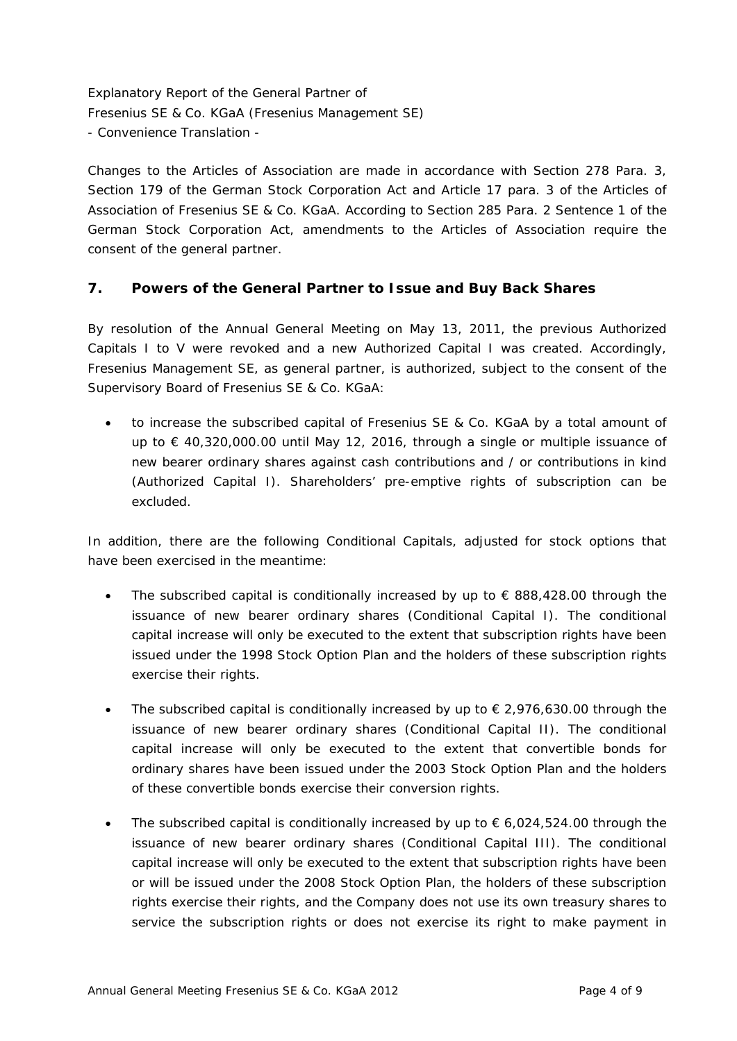Changes to the Articles of Association are made in accordance with Section 278 Para. 3, Section 179 of the German Stock Corporation Act and Article 17 para. 3 of the Articles of Association of Fresenius SE & Co. KGaA. According to Section 285 Para. 2 Sentence 1 of the German Stock Corporation Act, amendments to the Articles of Association require the consent of the general partner.

#### **7. Powers of the General Partner to Issue and Buy Back Shares**

By resolution of the Annual General Meeting on May 13, 2011, the previous Authorized Capitals I to V were revoked and a new Authorized Capital I was created. Accordingly, Fresenius Management SE, as general partner, is authorized, subject to the consent of the Supervisory Board of Fresenius SE & Co. KGaA:

 to increase the subscribed capital of Fresenius SE & Co. KGaA by a total amount of up to € 40,320,000.00 until May 12, 2016, through a single or multiple issuance of new bearer ordinary shares against cash contributions and / or contributions in kind (Authorized Capital I). Shareholders' pre-emptive rights of subscription can be excluded.

In addition, there are the following Conditional Capitals, adjusted for stock options that have been exercised in the meantime:

- The subscribed capital is conditionally increased by up to  $\epsilon$  888,428.00 through the issuance of new bearer ordinary shares (Conditional Capital I). The conditional capital increase will only be executed to the extent that subscription rights have been issued under the 1998 Stock Option Plan and the holders of these subscription rights exercise their rights.
- The subscribed capital is conditionally increased by up to  $\epsilon$  2,976,630.00 through the issuance of new bearer ordinary shares (Conditional Capital II). The conditional capital increase will only be executed to the extent that convertible bonds for ordinary shares have been issued under the 2003 Stock Option Plan and the holders of these convertible bonds exercise their conversion rights.
- The subscribed capital is conditionally increased by up to  $\epsilon$  6,024,524.00 through the issuance of new bearer ordinary shares (Conditional Capital III). The conditional capital increase will only be executed to the extent that subscription rights have been or will be issued under the 2008 Stock Option Plan, the holders of these subscription rights exercise their rights, and the Company does not use its own treasury shares to service the subscription rights or does not exercise its right to make payment in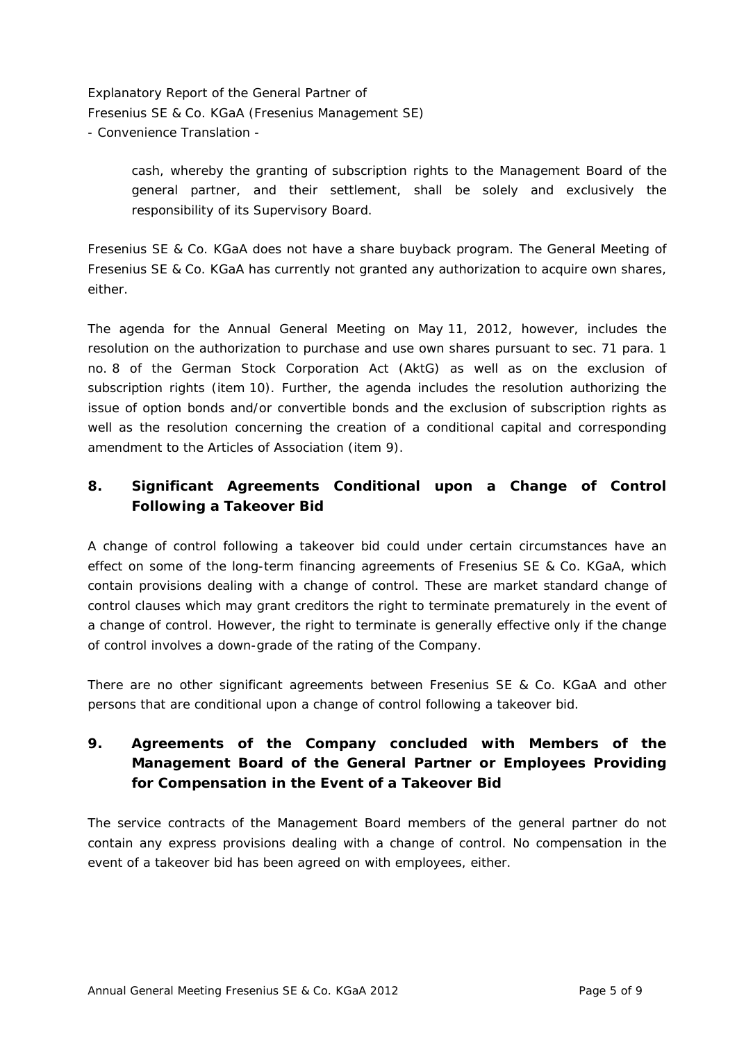> cash, whereby the granting of subscription rights to the Management Board of the general partner, and their settlement, shall be solely and exclusively the responsibility of its Supervisory Board.

Fresenius SE & Co. KGaA does not have a share buyback program. The General Meeting of Fresenius SE & Co. KGaA has currently not granted any authorization to acquire own shares, either.

The agenda for the Annual General Meeting on May 11, 2012, however, includes the resolution on the authorization to purchase and use own shares pursuant to sec. 71 para. 1 no. 8 of the German Stock Corporation Act (AktG) as well as on the exclusion of subscription rights (item 10). Further, the agenda includes the resolution authorizing the issue of option bonds and/or convertible bonds and the exclusion of subscription rights as well as the resolution concerning the creation of a conditional capital and corresponding amendment to the Articles of Association (item 9).

## **8. Significant Agreements Conditional upon a Change of Control Following a Takeover Bid**

A change of control following a takeover bid could under certain circumstances have an effect on some of the long-term financing agreements of Fresenius SE & Co. KGaA, which contain provisions dealing with a change of control. These are market standard change of control clauses which may grant creditors the right to terminate prematurely in the event of a change of control. However, the right to terminate is generally effective only if the change of control involves a down-grade of the rating of the Company.

There are no other significant agreements between Fresenius SE & Co. KGaA and other persons that are conditional upon a change of control following a takeover bid.

# **9. Agreements of the Company concluded with Members of the Management Board of the General Partner or Employees Providing for Compensation in the Event of a Takeover Bid**

The service contracts of the Management Board members of the general partner do not contain any express provisions dealing with a change of control. No compensation in the event of a takeover bid has been agreed on with employees, either.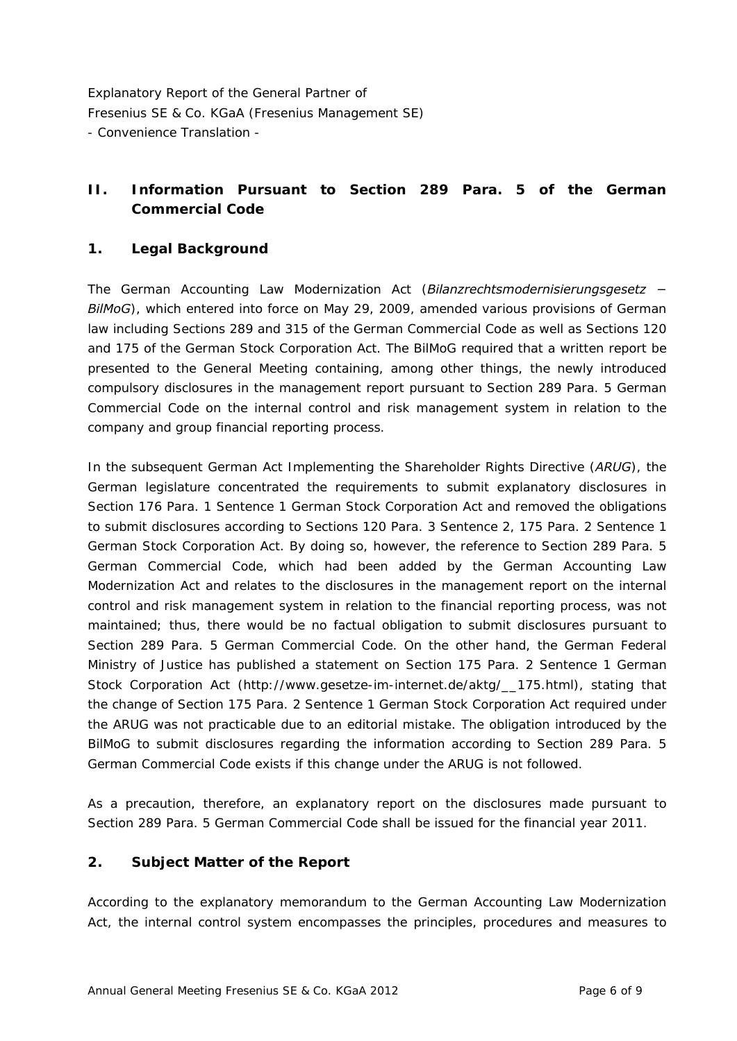### **II. Information Pursuant to Section 289 Para. 5 of the German Commercial Code**

#### **1. Legal Background**

The German Accounting Law Modernization Act (*Bilanzrechtsmodernisierungsgesetz − BilMoG*), which entered into force on May 29, 2009, amended various provisions of German law including Sections 289 and 315 of the German Commercial Code as well as Sections 120 and 175 of the German Stock Corporation Act. The BilMoG required that a written report be presented to the General Meeting containing, among other things, the newly introduced compulsory disclosures in the management report pursuant to Section 289 Para. 5 German Commercial Code on the internal control and risk management system in relation to the company and group financial reporting process.

In the subsequent German Act Implementing the Shareholder Rights Directive (*ARUG*), the German legislature concentrated the requirements to submit explanatory disclosures in Section 176 Para. 1 Sentence 1 German Stock Corporation Act and removed the obligations to submit disclosures according to Sections 120 Para. 3 Sentence 2, 175 Para. 2 Sentence 1 German Stock Corporation Act. By doing so, however, the reference to Section 289 Para. 5 German Commercial Code, which had been added by the German Accounting Law Modernization Act and relates to the disclosures in the management report on the internal control and risk management system in relation to the financial reporting process, was not maintained; thus, there would be no factual obligation to submit disclosures pursuant to Section 289 Para. 5 German Commercial Code. On the other hand, the German Federal Ministry of Justice has published a statement on Section 175 Para. 2 Sentence 1 German Stock Corporation Act ([http://www.gesetze-im-internet.de/aktg/\\_\\_175.html\)](http://www.gesetze-im-internet.de/aktg/__175.html), stating that the change of Section 175 Para. 2 Sentence 1 German Stock Corporation Act required under the ARUG was not practicable due to an editorial mistake. The obligation introduced by the BilMoG to submit disclosures regarding the information according to Section 289 Para. 5 German Commercial Code exists if this change under the ARUG is not followed.

As a precaution, therefore, an explanatory report on the disclosures made pursuant to Section 289 Para. 5 German Commercial Code shall be issued for the financial year 2011.

#### **2. Subject Matter of the Report**

According to the explanatory memorandum to the German Accounting Law Modernization Act, the internal control system encompasses the principles, procedures and measures to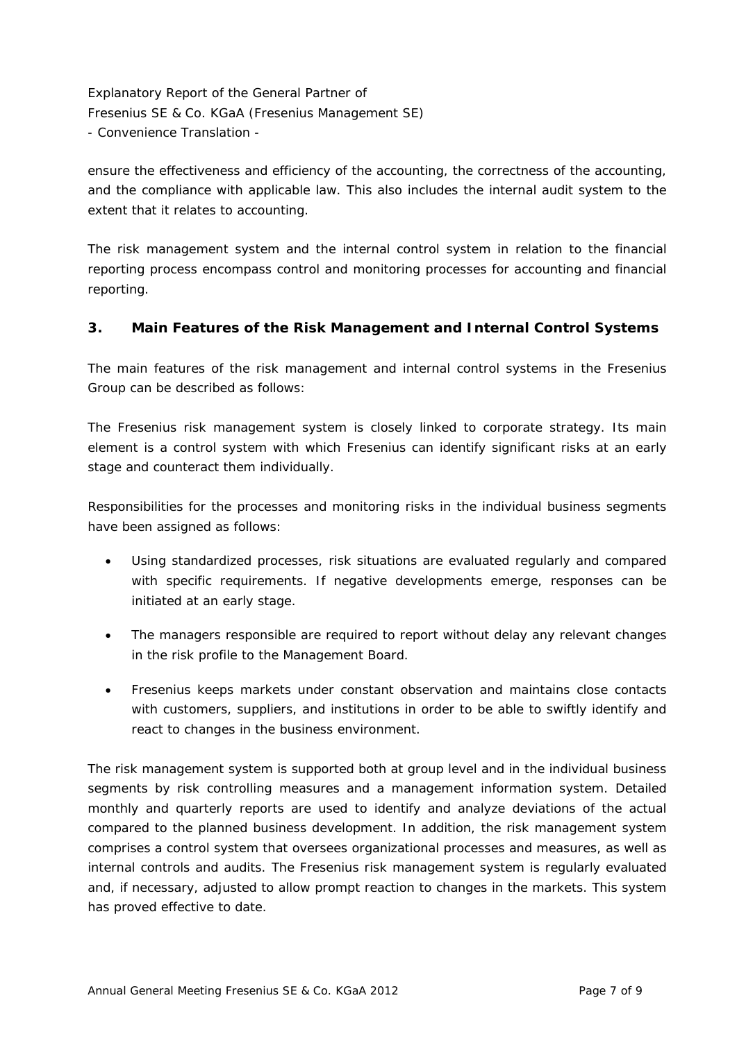ensure the effectiveness and efficiency of the accounting, the correctness of the accounting, and the compliance with applicable law. This also includes the internal audit system to the extent that it relates to accounting.

The risk management system and the internal control system in relation to the financial reporting process encompass control and monitoring processes for accounting and financial reporting.

### **3. Main Features of the Risk Management and Internal Control Systems**

The main features of the risk management and internal control systems in the Fresenius Group can be described as follows:

The Fresenius risk management system is closely linked to corporate strategy. Its main element is a control system with which Fresenius can identify significant risks at an early stage and counteract them individually.

Responsibilities for the processes and monitoring risks in the individual business segments have been assigned as follows:

- Using standardized processes, risk situations are evaluated regularly and compared with specific requirements. If negative developments emerge, responses can be initiated at an early stage.
- The managers responsible are required to report without delay any relevant changes in the risk profile to the Management Board.
- Fresenius keeps markets under constant observation and maintains close contacts with customers, suppliers, and institutions in order to be able to swiftly identify and react to changes in the business environment.

The risk management system is supported both at group level and in the individual business segments by risk controlling measures and a management information system. Detailed monthly and quarterly reports are used to identify and analyze deviations of the actual compared to the planned business development. In addition, the risk management system comprises a control system that oversees organizational processes and measures, as well as internal controls and audits. The Fresenius risk management system is regularly evaluated and, if necessary, adjusted to allow prompt reaction to changes in the markets. This system has proved effective to date.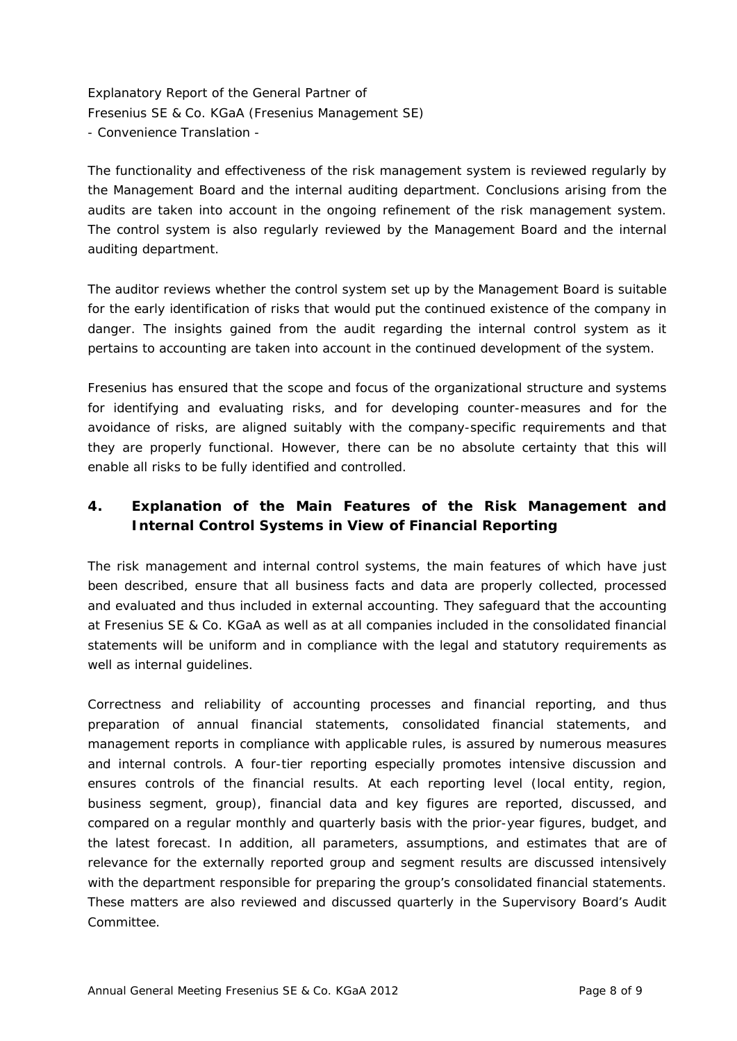The functionality and effectiveness of the risk management system is reviewed regularly by the Management Board and the internal auditing department. Conclusions arising from the audits are taken into account in the ongoing refinement of the risk management system. The control system is also regularly reviewed by the Management Board and the internal auditing department.

The auditor reviews whether the control system set up by the Management Board is suitable for the early identification of risks that would put the continued existence of the company in danger. The insights gained from the audit regarding the internal control system as it pertains to accounting are taken into account in the continued development of the system.

Fresenius has ensured that the scope and focus of the organizational structure and systems for identifying and evaluating risks, and for developing counter-measures and for the avoidance of risks, are aligned suitably with the company-specific requirements and that they are properly functional. However, there can be no absolute certainty that this will enable all risks to be fully identified and controlled.

# **4. Explanation of the Main Features of the Risk Management and Internal Control Systems in View of Financial Reporting**

The risk management and internal control systems, the main features of which have just been described, ensure that all business facts and data are properly collected, processed and evaluated and thus included in external accounting. They safeguard that the accounting at Fresenius SE & Co. KGaA as well as at all companies included in the consolidated financial statements will be uniform and in compliance with the legal and statutory requirements as well as internal guidelines.

Correctness and reliability of accounting processes and financial reporting, and thus preparation of annual financial statements, consolidated financial statements, and management reports in compliance with applicable rules, is assured by numerous measures and internal controls. A four-tier reporting especially promotes intensive discussion and ensures controls of the financial results. At each reporting level (local entity, region, business segment, group), financial data and key figures are reported, discussed, and compared on a regular monthly and quarterly basis with the prior-year figures, budget, and the latest forecast. In addition, all parameters, assumptions, and estimates that are of relevance for the externally reported group and segment results are discussed intensively with the department responsible for preparing the group's consolidated financial statements. These matters are also reviewed and discussed quarterly in the Supervisory Board's Audit Committee.